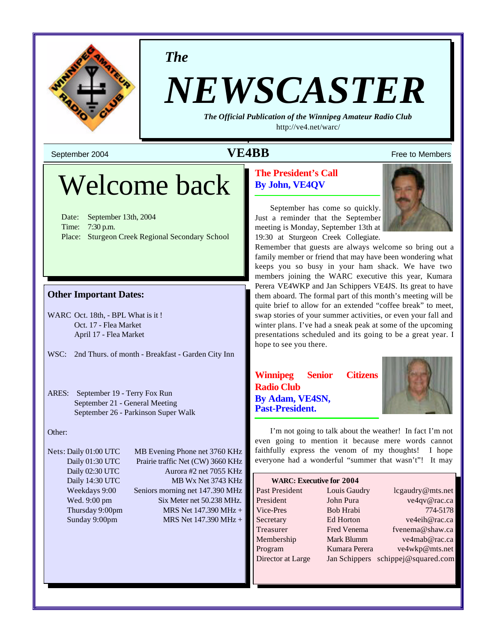

*The*

# *NEWSCASTER*

*The Official Publication of the Winnipeg Amateur Radio Club* http://ve4.net/warc/

## $\bf{VEABB}$  Free to Members  $\bf{VEABB}$

## Welcome back

Date: September 13th, 2004 Time: 7:30 p.m. Place: Sturgeon Creek Regional Secondary School

#### **Other Important Dates:**

WARC Oct. 18th, - BPL What is it ! Oct. 17 - Flea Market April 17 - Flea Market

WSC: 2nd Thurs. of month - Breakfast - Garden City Inn

ARES: September 19 - Terry Fox Run September 21 - General Meeting September 26 - Parkinson Super Walk

#### Other:

Nets: Daily 01:00 UTC MB Evening Phone net 3760 KHz Daily 01:30 UTC Prairie traffic Net (CW) 3660 KHz Daily 02:30 UTC Aurora #2 net 7055 KHz Daily 14:30 UTC MB Wx Net 3743 KHz Weekdays 9:00 Seniors morning net 147.390 MHz Wed. 9:00 pm Six Meter net 50.238 MHz. Thursday 9:00pm MRS Net  $147.390 \text{ MHz} +$ Sunday 9:00pm MRS Net 147.390 MHz +

## **The President's Call By John, VE4QV**

September has come so quickly. Just a reminder that the September meeting is Monday, September 13th at 19:30 at Sturgeon Creek Collegiate.



Remember that guests are always welcome so bring out a family member or friend that may have been wondering what keeps you so busy in your ham shack. We have two members joining the WARC executive this year, Kumara Perera VE4WKP and Jan Schippers VE4JS. Its great to have them aboard. The formal part of this month's meeting will be quite brief to allow for an extended "coffee break" to meet, swap stories of your summer activities, or even your fall and winter plans. I've had a sneak peak at some of the upcoming presentations scheduled and its going to be a great year. I hope to see you there.

| Winnipeg               | <b>Senior</b> Citizens |  |
|------------------------|------------------------|--|
| <b>Radio Club</b>      |                        |  |
| By Adam, VE4SN,        |                        |  |
| <b>Past-President.</b> |                        |  |



I'm not going to talk about the weather! In fact I'm not even going to mention it because mere words cannot faithfully express the venom of my thoughts! I hope everyone had a wonderful "summer that wasn't"! It may

| <b>WARC: Executive for 2004</b> |                    |                      |
|---------------------------------|--------------------|----------------------|
| Past President                  | Louis Gaudry       | lcgaudry@mts.net     |
| President                       | John Pura          | ve4qv@rac.ca         |
| Vice-Pres                       | Bob Hrabi          | 774-5178             |
| Secretary                       | Ed Horton          | ve4eih@rac.ca        |
| Treasurer                       | <b>Fred Venema</b> | fvenema@shaw.ca      |
| Membership                      | Mark Blumm         | ve4mab@rac.ca        |
| Program                         | Kumara Perera      | ve4wkp@mts.net       |
| Director at Large               | Jan Schippers      | schippej@squared.com |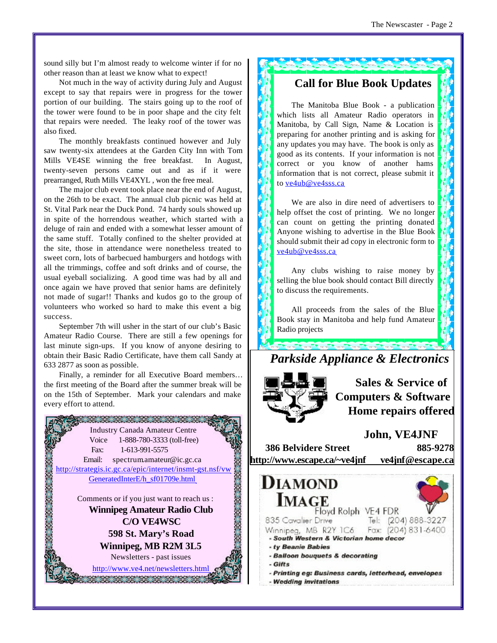sound silly but I'm almost ready to welcome winter if for no other reason than at least we know what to expect!

Not much in the way of activity during July and August except to say that repairs were in progress for the tower portion of our building. The stairs going up to the roof of the tower were found to be in poor shape and the city felt that repairs were needed. The leaky roof of the tower was also fixed.

The monthly breakfasts continued however and July saw twenty-six attendees at the Garden City Inn with Tom Mills VE4SE winning the free breakfast. In August, twenty-seven persons came out and as if it were prearranged, Ruth Mills VE4XYL , won the free meal.

The major club event took place near the end of August, on the 26th to be exact. The annual club picnic was held at St. Vital Park near the Duck Pond. 74 hardy souls showed up in spite of the horrendous weather, which started with a deluge of rain and ended with a somewhat lesser amount of the same stuff. Totally confined to the shelter provided at the site, those in attendance were nonetheless treated to sweet corn, lots of barbecued hamburgers and hotdogs with all the trimmings, coffee and soft drinks and of course, the usual eyeball socializing. A good time was had by all and once again we have proved that senior hams are definitely not made of sugar!! Thanks and kudos go to the group of volunteers who worked so hard to make this event a big success.

September 7th will usher in the start of our club's Basic Amateur Radio Course. There are still a few openings for last minute sign-ups. If you know of anyone desiring to obtain their Basic Radio Certificate, have them call Sandy at 633 2877 as soon as possible.

Finally, a reminder for all Executive Board members… the first meeting of the Board after the summer break will be on the 15th of September. Mark your calendars and make every effort to attend.



## **Call for Blue Book Updates**

The Manitoba Blue Book - a publication which lists all Amateur Radio operators in Manitoba, by Call Sign, Name & Location is preparing for another printing and is asking for any updates you may have. The book is only as good as its contents. If your information is not correct or you know of another hams information that is not correct, please submit it to ve4ub@ve4sss.ca

We are also in dire need of advertisers to help offset the cost of printing. We no longer can count on getting the printing donated Anyone wishing to advertise in the Blue Book should submit their ad copy in electronic form to ve4ub@ve4sss.ca

Any clubs wishing to raise money by selling the blue book should contact Bill directly to discuss the requirements.

All proceeds from the sales of the Blue Book stay in Manitoba and help fund Amateur Radio projects

*Parkside Appliance & Electronics*



**Sales & Service of Computers & Software Home repairs offered**

## **John, VE4JNF**

**386 Belvidere Street 885-9278 http://www.escape.ca/~ve4jnf ve4jnf@escape.ca**

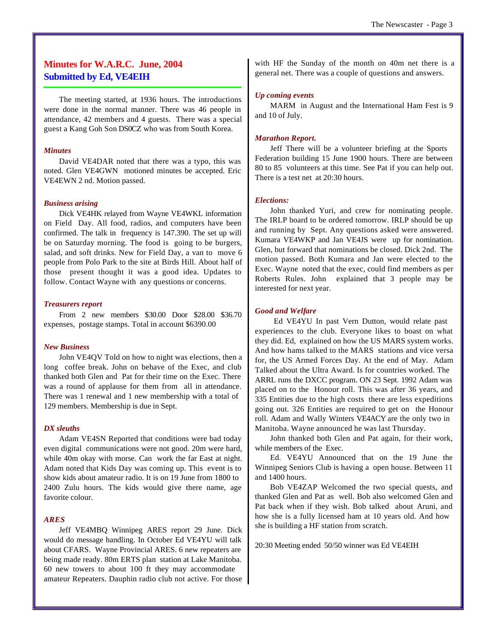## **Minutes for W.A.R.C. June, 2004 Submitted by Ed, VE4EIH**

The meeting started, at 1936 hours. The introductions were done in the normal manner. There was 46 people in attendance, 42 members and 4 guests. There was a special guest a Kang Goh Son DS0CZ who was from South Korea.

#### *Minutes*

David VE4DAR noted that there was a typo, this was noted. Glen VE4GWN motioned minutes be accepted. Eric VE4EWN 2 nd. Motion passed.

#### *Business arising*

Dick VE4HK relayed from Wayne VE4WKL information on Field Day. All food, radios, and computers have been confirmed. The talk in frequency is 147.390. The set up will be on Saturday morning. The food is going to be burgers, salad, and soft drinks. New for Field Day, a van to move 6 people from Polo Park to the site at Birds Hill. About half of those present thought it was a good idea. Updates to follow. Contact Wayne with any questions or concerns.

#### *Treasurers report*

From 2 new members \$30.00 Door \$28.00 \$36.70 expenses, postage stamps. Total in account \$6390.00

#### *New Business*

John VE4QV Told on how to night was elections, then a long coffee break. John on behave of the Exec, and club thanked both Glen and Pat for their time on the Exec. There was a round of applause for them from all in attendance. There was 1 renewal and 1 new membership with a total of 129 members. Membership is due in Sept.

#### *DX sleuths*

Adam VE4SN Reported that conditions were bad today even digital communications were not good. 20m were hard, while 40m okay with morse. Can work the far East at night. Adam noted that Kids Day was coming up. This event is to show kids about amateur radio. It is on 19 June from 1800 to 2400 Zulu hours. The kids would give there name, age favorite colour.

#### *ARES*

Jeff VE4MBQ Winnipeg ARES report 29 June. Dick would do message handling. In October Ed VE4YU will talk about CFARS. Wayne Provincial ARES. 6 new repeaters are being made ready. 80m ERTS plan station at Lake Manitoba. 60 new towers to about 100 ft they may accommodate amateur Repeaters. Dauphin radio club not active. For those with HF the Sunday of the month on 40m net there is a general net. There was a couple of questions and answers.

#### *Up coming events*

MARM in August and the International Ham Fest is 9 and 10 of July.

#### *Marathon Report.*

Jeff There will be a volunteer briefing at the Sports Federation building 15 June 1900 hours. There are between 80 to 85 volunteers at this time. See Pat if you can help out. There is a test net at 20:30 hours.

#### *Elections:*

John thanked Yuri, and crew for nominating people. The IRLP board to be ordered tomorrow. IRLP should be up and running by Sept. Any questions asked were answered. Kumara VE4WKP and Jan VE4JS were up for nomination. Glen, but forward that nominations be closed. Dick 2nd. The motion passed. Both Kumara and Jan were elected to the Exec. Wayne noted that the exec, could find members as per Roberts Rules. John explained that 3 people may be interested for next year.

#### *Good and Welfare*

 Ed VE4YU In past Vern Dutton, would relate past experiences to the club. Everyone likes to boast on what they did. Ed, explained on how the US MARS system works. And how hams talked to the MARS stations and vice versa for, the US Armed Forces Day. At the end of May. Adam Talked about the Ultra Award. Is for countries worked. The ARRL runs the DXCC program. ON 23 Sept. 1992 Adam was placed on to the Honour roll. This was after 36 years, and 335 Entities due to the high costs there are less expeditions going out. 326 Entities are required to get on the Honour roll. Adam and Wally Winters VE4ACY are the only two in Manitoba. Wayne announced he was last Thursday.

John thanked both Glen and Pat again, for their work, while members of the Exec.

Ed. VE4YU Announced that on the 19 June the Winnipeg Seniors Club is having a open house. Between 11 and 1400 hours.

Bob VE4ZAP Welcomed the two special quests, and thanked Glen and Pat as well. Bob also welcomed Glen and Pat back when if they wish. Bob talked about Aruni, and how she is a fully licensed ham at 10 years old. And how she is building a HF station from scratch.

20:30 Meeting ended 50/50 winner was Ed VE4EIH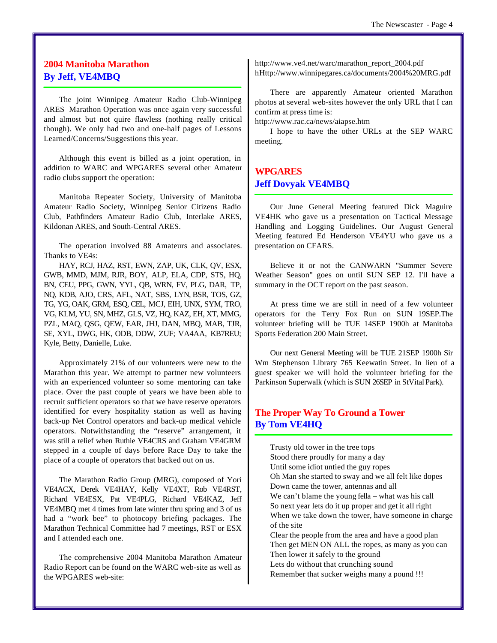## **2004 Manitoba Marathon By Jeff, VE4MBQ**

The joint Winnipeg Amateur Radio Club-Winnipeg ARES Marathon Operation was once again very successful and almost but not quire flawless (nothing really critical though). We only had two and one-half pages of Lessons Learned/Concerns/Suggestions this year.

Although this event is billed as a joint operation, in addition to WARC and WPGARES several other Amateur radio clubs support the operation:

Manitoba Repeater Society, University of Manitoba Amateur Radio Society, Winnipeg Senior Citizens Radio Club, Pathfinders Amateur Radio Club, Interlake ARES, Kildonan ARES, and South-Central ARES.

The operation involved 88 Amateurs and associates. Thanks to VE4s:

HAY, RCJ, HAZ, RST, EWN, ZAP, UK, CLK, QV, ESX, GWB, MMD, MJM, RJR, BOY, ALP, ELA, CDP, STS, HQ, BN, CEU, PPG, GWN, YYL, QB, WRN, FV, PLG, DAR, TP, NQ, KDB, AJO, CRS, AFL, NAT, SBS, LYN, BSR, TOS, GZ, TG, YG, OAK, GRM, ESQ, CEL, MCJ, EIH, UNX, SYM, TRO, VG, KLM, YU, SN, MHZ, GLS, VZ, HQ, KAZ, EH, XT, MMG, PZL, MAQ, QSG, QEW, EAR, JHJ, DAN, MBQ, MAB, TJR, SE, XYL, DWG, HK, ODB, DDW, ZUF; VA4AA, KB7REU; Kyle, Betty, Danielle, Luke.

Approximately 21% of our volunteers were new to the Marathon this year. We attempt to partner new volunteers with an experienced volunteer so some mentoring can take place. Over the past couple of years we have been able to recruit sufficient operators so that we have reserve operators identified for every hospitality station as well as having back-up Net Control operators and back-up medical vehicle operators. Notwithstanding the "reserve" arrangement, it was still a relief when Ruthie VE4CRS and Graham VE4GRM stepped in a couple of days before Race Day to take the place of a couple of operators that backed out on us.

The Marathon Radio Group (MRG), composed of Yori VE4ACX, Derek VE4HAY, Kelly VE4XT, Rob VE4RST, Richard VE4ESX, Pat VE4PLG, Richard VE4KAZ, Jeff VE4MBQ met 4 times from late winter thru spring and 3 of us had a "work bee" to photocopy briefing packages. The Marathon Technical Committee had 7 meetings, RST or ESX and I attended each one.

The comprehensive 2004 Manitoba Marathon Amateur Radio Report can be found on the WARC web-site as well as the WPGARES web-site:

http://www.ve4.net/warc/marathon\_report\_2004.pdf hHttp://www.winnipegares.ca/documents/2004%20MRG.pdf

There are apparently Amateur oriented Marathon photos at several web-sites however the only URL that I can confirm at press time is:

http://www.rac.ca/news/aiapse.htm

I hope to have the other URLs at the SEP WARC meeting.

## **WPGARES Jeff Dovyak VE4MBQ**

Our June General Meeting featured Dick Maguire VE4HK who gave us a presentation on Tactical Message Handling and Logging Guidelines. Our August General Meeting featured Ed Henderson VE4YU who gave us a presentation on CFARS.

Believe it or not the CANWARN "Summer Severe Weather Season" goes on until SUN SEP 12. I'll have a summary in the OCT report on the past season.

At press time we are still in need of a few volunteer operators for the Terry Fox Run on SUN 19SEP.The volunteer briefing will be TUE 14SEP 1900h at Manitoba Sports Federation 200 Main Street.

Our next General Meeting will be TUE 21SEP 1900h Sir Wm Stephenson Library 765 Keewatin Street. In lieu of a guest speaker we will hold the volunteer briefing for the Parkinson Superwalk (which is SUN 26SEP in StVital Park).

## **The Proper Way To Ground a Tower By Tom VE4HQ**

Trusty old tower in the tree tops Stood there proudly for many a day Until some idiot untied the guy ropes Oh Man she started to sway and we all felt like dopes Down came the tower, antennas and all We can't blame the young fella – what was his call So next year lets do it up proper and get it all right When we take down the tower, have someone in charge of the site Clear the people from the area and have a good plan Then get MEN ON ALL the ropes, as many as you can Then lower it safely to the ground Lets do without that crunching sound

Remember that sucker weighs many a pound !!!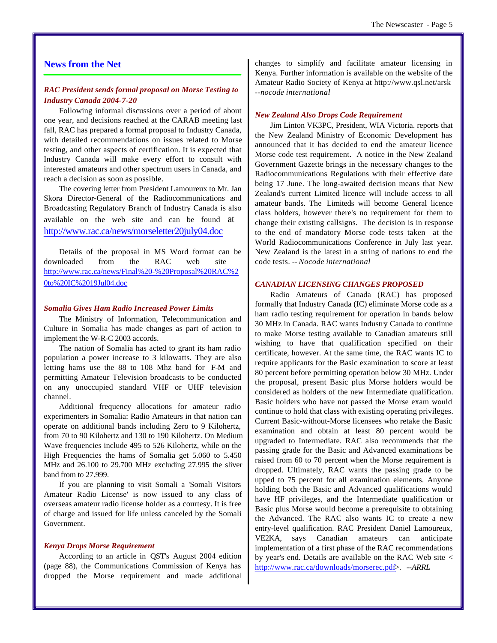#### **News from the Net**

#### *RAC President sends formal proposal on Morse Testing to Industry Canada 2004-7-20*

Following informal discussions over a period of about one year, and decisions reached at the CARAB meeting last fall, RAC has prepared a formal proposal to Industry Canada, with detailed recommendations on issues related to Morse testing, and other aspects of certification. It is expected that Industry Canada will make every effort to consult with interested amateurs and other spectrum users in Canada, and reach a decision as soon as possible.

The covering letter from President Lamoureux to Mr. Jan Skora Director-General of the Radiocommunications and Broadcasting Regulatory Branch of Industry Canada is also available on the web site and can be found at http://www.rac.ca/news/morseletter20july04.doc

Details of the proposal in MS Word format can be downloaded from the RAC web site http://www.rac.ca/news/Final%20-%20Proposal%20RAC%2 0to%20IC%2019Jul04.doc

#### *Somalia Gives Ham Radio Increased Power Limits*

The Ministry of Information, Telecommunication and Culture in Somalia has made changes as part of action to implement the W-R-C 2003 accords.

The nation of Somalia has acted to grant its ham radio population a power increase to 3 kilowatts. They are also letting hams use the 88 to 108 Mhz band for F-M and permitting Amateur Television broadcasts to be conducted on any unoccupied standard VHF or UHF television channel.

Additional frequency allocations for amateur radio experimenters in Somalia: Radio Amateurs in that nation can operate on additional bands including Zero to 9 Kilohertz, from 70 to 90 Kilohertz and 130 to 190 Kilohertz. On Medium Wave frequencies include 495 to 526 Kilohertz, while on the High Frequencies the hams of Somalia get 5.060 to 5.450 MHz and 26.100 to 29.700 MHz excluding 27.995 the sliver band from to 27.999.

If you are planning to visit Somali a 'Somali Visitors Amateur Radio License' is now issued to any class of overseas amateur radio license holder as a courtesy. It is free of charge and issued for life unless canceled by the Somali Government.

#### *Kenya Drops Morse Requirement*

According to an article in QST's August 2004 edition (page 88), the Communications Commission of Kenya has dropped the Morse requirement and made additional changes to simplify and facilitate amateur licensing in Kenya. Further information is available on the website of the Amateur Radio Society of Kenya at http://www.qsl.net/arsk *--nocode international*

#### *New Zealand Also Drops Code Requirement*

Jim Linton VK3PC, President, WIA Victoria. reports that the New Zealand Ministry of Economic Development has announced that it has decided to end the amateur licence Morse code test requirement. A notice in the New Zealand Government Gazette brings in the necessary changes to the Radiocommunications Regulations with their effective date being 17 June. The long-awaited decision means that New Zealand's current Limited licence will include access to all amateur bands. The Limiteds will become General licence class holders, however there's no requirement for them to change their existing callsigns. The decision is in response to the end of mandatory Morse code tests taken at the World Radiocommunications Conference in July last year. New Zealand is the latest in a string of nations to end the code tests. *-- Nocode international*

#### *CANADIAN LICENSING CHANGES PROPOSED*

Radio Amateurs of Canada (RAC) has proposed formally that Industry Canada (IC) eliminate Morse code as a ham radio testing requirement for operation in bands below 30 MHz in Canada. RAC wants Industry Canada to continue to make Morse testing available to Canadian amateurs still wishing to have that qualification specified on their certificate, however. At the same time, the RAC wants IC to require applicants for the Basic examination to score at least 80 percent before permitting operation below 30 MHz. Under the proposal, present Basic plus Morse holders would be considered as holders of the new Intermediate qualification. Basic holders who have not passed the Morse exam would continue to hold that class with existing operating privileges. Current Basic-without-Morse licensees who retake the Basic examination and obtain at least 80 percent would be upgraded to Intermediate. RAC also recommends that the passing grade for the Basic and Advanced examinations be raised from 60 to 70 percent when the Morse requirement is dropped. Ultimately, RAC wants the passing grade to be upped to 75 percent for all examination elements. Anyone holding both the Basic and Advanced qualifications would have HF privileges, and the Intermediate qualification or Basic plus Morse would become a prerequisite to obtaining the Advanced. The RAC also wants IC to create a new entry-level qualification. RAC President Daniel Lamoureux, VE2KA, says Canadian amateurs can anticipate implementation of a first phase of the RAC recommendations by year's end. Details are available on the RAC Web site < http://www.rac.ca/downloads/morserec.pdf>. *--ARRL*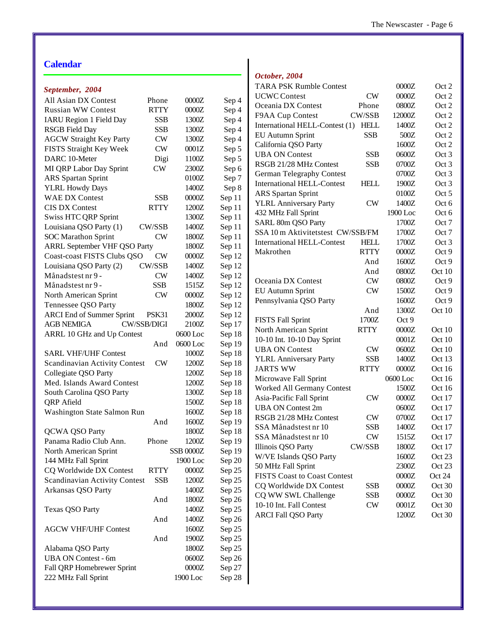## **Calendar**

| September, 2004 |  |
|-----------------|--|
|-----------------|--|

| $\sim$ promoviy sub                  |               |                  |        |
|--------------------------------------|---------------|------------------|--------|
| All Asian DX Contest                 | Phone         | 0000Z            | Sep 4  |
| <b>Russian WW Contest</b>            | RTTY          | 0000Z            | Sep 4  |
| <b>IARU Region 1 Field Day</b>       | <b>SSB</b>    | 1300Z            | Sep 4  |
| <b>RSGB</b> Field Day                | <b>SSB</b>    | 1300Z            | Sep 4  |
| <b>AGCW Straight Key Party</b>       | <b>CW</b>     | 1300Z            | Sep 4  |
| FISTS Straight Key Week              | CW            | 0001Z            | Sep 5  |
| DARC 10-Meter                        | Digi          | 1100Z            | Sep 5  |
| MI QRP Labor Day Sprint              | CW            | 2300Z            | Sep 6  |
| <b>ARS</b> Spartan Sprint            |               | 0100Z            | Sep 7  |
| <b>YLRL Howdy Days</b>               |               | 1400Z            | Sep 8  |
| <b>WAE DX Contest</b>                | <b>SSB</b>    | 0000Z            | Sep 11 |
| <b>CIS DX Contest</b>                | RTTY          | 1200Z            | Sep 11 |
| Swiss HTC QRP Sprint                 |               | 1300Z            | Sep 11 |
| Louisiana QSO Party (1)              | CW/SSB        | 1400Z            | Sep 11 |
| <b>SOC Marathon Sprint</b>           | CW            | 1800Z            | Sep 11 |
| ARRL September VHF QSO Party         |               | 1800Z            | Sep 11 |
| Coast-coast FISTS Clubs QSO          | CW            | 0000Z            | Sep 12 |
| Louisiana QSO Party (2)              | <b>CW/SSB</b> | 1400Z            | Sep 12 |
| Månadstest nr 9 -                    | CW            | 1400Z            | Sep 12 |
| Månadstest nr 9 -                    | <b>SSB</b>    | 1515Z            | Sep 12 |
| North American Sprint                | CW            | 0000Z            | Sep 12 |
| Tennessee QSO Party                  |               | 1800Z            | Sep 12 |
| <b>ARCI</b> End of Summer Sprint     | PSK31         | 2000Z            | Sep 12 |
| <b>AGB NEMIGA</b>                    | CW/SSB/DIGI   | 2100Z            | Sep 17 |
| ARRL 10 GHz and Up Contest           |               | 0600 Loc         | Sep 18 |
|                                      | And           | 0600 Loc         | Sep 19 |
| <b>SARL VHF/UHF Contest</b>          |               | 1000Z            | Sep 18 |
| Scandinavian Activity Contest        | CW            | 1200Z            | Sep 18 |
| Collegiate QSO Party                 |               | 1200Z            | Sep 18 |
| Med. Islands Award Contest           |               | 1200Z            | Sep 18 |
| South Carolina QSO Party             |               | 1300Z            | Sep 18 |
| QRP Afield                           |               | 1500Z            | Sep 18 |
| Washington State Salmon Run          |               | 1600Z            | Sep 18 |
|                                      | And           | 1600Z            | Sep 19 |
| <b>QCWA QSO Party</b>                |               | 1800Z            | Sep 18 |
| Panama Radio Club Ann.               | Phone         | 1200Z            | Sep 19 |
| North American Sprint                |               | <b>SSB 0000Z</b> | Sep 19 |
| 144 MHz Fall Sprint                  |               | 1900 Loc         | Sep 20 |
| CQ Worldwide DX Contest              | RTTY          | 0000Z            | Sep 25 |
| <b>Scandinavian Activity Contest</b> | <b>SSB</b>    | 1200Z            | Sep 25 |
| Arkansas QSO Party                   |               | 1400Z            | Sep 25 |
|                                      | And           | 1800Z            | Sep 26 |
| Texas QSO Party                      |               | 1400Z            | Sep 25 |
|                                      | And           | 1400Z            | Sep 26 |
| <b>AGCW VHF/UHF Contest</b>          |               | 1600Z            | Sep 25 |
|                                      | And           | 1900Z            | Sep 25 |
| Alabama QSO Party                    |               | 1800Z            | Sep 25 |
| <b>UBA ON Contest - 6m</b>           |               | $0600Z$          | Sep 26 |
| Fall QRP Homebrewer Sprint           |               | 0000Z            | Sep 27 |
| 222 MHz Fall Sprint                  |               | 1900 Loc         | Sep 28 |
|                                      |               |                  |        |

## *October, 2004*

| <b>TARA PSK Rumble Contest</b>      |             | 0000Z    | Oct 2  |
|-------------------------------------|-------------|----------|--------|
| <b>UCWC Contest</b>                 | CW          | 0000Z    | Oct 2  |
| Oceania DX Contest                  | Phone       | 0800Z    | Oct 2  |
| F9AA Cup Contest                    | CW/SSB      | 12000Z   | Oct 2  |
| International HELL-Contest (1)      | <b>HELL</b> | 1400Z    | Oct 2  |
| <b>EU Autumn Sprint</b>             | <b>SSB</b>  | 500Z     | Oct 2  |
| California QSO Party                |             | 1600Z    | Oct 2  |
| <b>UBA ON Contest</b>               | <b>SSB</b>  | 0600Z    | Oct 3  |
| RSGB 21/28 MHz Contest              | <b>SSB</b>  | 0700Z    | Oct 3  |
| <b>German Telegraphy Contest</b>    |             | 0700Z    | Oct 3  |
| <b>International HELL-Contest</b>   | <b>HELL</b> | 1900Z    | Oct 3  |
| <b>ARS</b> Spartan Sprint           |             | 0100Z    | Oct 5  |
| <b>YLRL Anniversary Party</b>       | CW          | 1400Z    | Oct 6  |
| 432 MHz Fall Sprint                 |             | 1900 Loc | Oct 6  |
| SARL 80m QSO Party                  |             | 1700Z    | Oct 7  |
| SSA 10 m Aktivitetstest CW/SSB/FM   |             | 1700Z    | Oct 7  |
| <b>International HELL-Contest</b>   | <b>HELL</b> | 1700Z    | Oct 3  |
| Makrothen                           | <b>RTTY</b> | 0000Z    | Oct 9  |
|                                     | And         | 1600Z    | Oct 9  |
|                                     | And         | 0800Z    | Oct 10 |
| Oceania DX Contest                  | CW          | 0800Z    | Oct 9  |
| <b>EU Autumn Sprint</b>             | CW          | 1500Z    | Oct 9  |
| Pennsylvania QSO Party              |             | 1600Z    | Oct 9  |
|                                     | And         | 1300Z    | Oct 10 |
| <b>FISTS Fall Sprint</b>            | 1700Z       | Oct 9    |        |
| North American Sprint               | <b>RTTY</b> | 0000Z    | Oct 10 |
| 10-10 Int. 10-10 Day Sprint         |             | 0001Z    | Oct 10 |
| <b>UBA ON Contest</b>               | CW          | 0600Z    | Oct 10 |
| <b>YLRL Anniversary Party</b>       | <b>SSB</b>  | 1400Z    | Oct 13 |
| <b>JARTS WW</b>                     | <b>RTTY</b> | 0000Z    | Oct 16 |
| Microwave Fall Sprint               |             | 0600 Loc | Oct 16 |
| Worked All Germany Contest          |             | 1500Z    | Oct 16 |
| Asia-Pacific Fall Sprint            | CW          | 0000Z    | Oct 17 |
| <b>UBA ON Contest 2m</b>            |             | 0600Z    | Oct 17 |
| RSGB 21/28 MHz Contest              | CW          | 0700Z    | Oct 17 |
| SSA Månadstest nr 10                | <b>SSB</b>  | 1400Z    | Oct 17 |
| SSA Månadstest nr 10                | CW          | 1515Z    | Oct 17 |
| Illinois QSO Party                  | CW/SSB      | 1800Z    | Oct 17 |
| W/VE Islands QSO Party              |             | 1600Z    | Oct 23 |
| 50 MHz Fall Sprint                  |             | 2300Z    | Oct 23 |
| <b>FISTS Coast to Coast Contest</b> |             | 0000Z    | Oct 24 |
| CQ Worldwide DX Contest             | SSB         | 0000Z    | Oct 30 |
| CQ WW SWL Challenge                 | SSB         | 0000Z    | Oct 30 |
| 10-10 Int. Fall Contest             | CW          | 0001Z    | Oct 30 |
| <b>ARCI Fall QSO Party</b>          |             | 1200Z    | Oct 30 |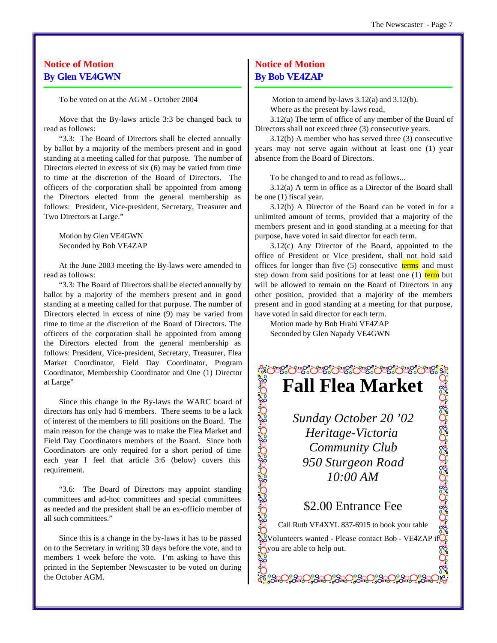## **Notice of Motion By Glen VE4GWN**

To be voted on at the AGM - October 2004

Move that the By-laws article 3:3 be changed back to read as follows:

"3.3: The Board of Directors shall be elected annually by ballot by a majority of the members present and in good standing at a meeting called for that purpose. The number of Directors elected in excess of six (6) may be varied from time to time at the discretion of the Board of Directors. The officers of the corporation shall be appointed from among the Directors elected from the general membership as follows: President, Vice-president, Secretary, Treasurer and Two Directors at Large."

Motion by Glen VE4GWN Seconded by Bob VE4ZAP

At the June 2003 meeting the By-laws were amended to read as follows:

"3.3: The Board of Directors shall be elected annually by ballot by a majority of the members present and in good standing at a meeting called for that purpose. The number of Directors elected in excess of nine (9) may be varied from time to time at the discretion of the Board of Directors. The officers of the corporation shall be appointed from among the Directors elected from the general membership as follows: President, Vice-president, Secretary, Treasurer, Flea Market Coordinator, Field Day Coordinator, Program Coordinator, Membership Coordinator and One (1) Director at Large"

Since this change in the By-laws the WARC board of directors has only had 6 members. There seems to be a lack of interest of the members to fill positions on the Board. The main reason for the change was to make the Flea Market and Field Day Coordinators members of the Board. Since both Coordinators are only required for a short period of time each year I feel that article 3:6 (below) covers this requirement.

"3.6: The Board of Directors may appoint standing committees and ad-hoc committees and special committees as needed and the president shall be an ex-officio member of all such committees."

Since this is a change in the by-laws it has to be passed on to the Secretary in writing 30 days before the vote, and to members 1 week before the vote. I'm asking to have this printed in the September Newscaster to be voted on during the October AGM.

## **Notice of Motion By Bob VE4ZAP**

Motion to amend by-laws 3.12(a) and 3.12(b).

Where as the present by-laws read,

3.12(a) The term of office of any member of the Board of Directors shall not exceed three (3) consecutive years.

3.12(b) A member who has served three (3) consecutive years may not serve again without at least one (1) year absence from the Board of Directors.

To be changed to and to read as follows...

3.12(a) A term in office as a Director of the Board shall be one (1) fiscal year.

3.12(b) A Director of the Board can be voted in for a unlimited amount of terms, provided that a majority of the members present and in good standing at a meeting for that purpose, have voted in said director for each term.

3.12(c) Any Director of the Board, appointed to the office of President or Vice president, shall not hold said offices for longer than five  $(5)$  consecutive terms and must step down from said positions for at least one (1) term but will be allowed to remain on the Board of Directors in any other position, provided that a majority of the members present and in good standing at a meeting for that purpose, have voted in said director for each term.

Motion made by Bob Hrabi VE4ZAP Seconded by Glen Napady VE4GWN

## **Fall Flea Market**

*Sunday October 20 '02 Heritage-Victoria Community Club 950 Sturgeon Road 10:00 AM* **Volumers Warket**<br>
Volumers Sunday October 20 '02<br> *Sunday October 20 '02*<br> *Heritage-Victoria*<br> *Community Club*<br>
950 Sturgeon Road<br>
10:00 AM<br>
28<br>
28<br>
28<br>
28<br>
28<br>
28<br>
28<br>
28<br>
Call Ruth VE4XYL 837-6915 to book your table<br>

ွိ ့ေတာ့လွေ့လွေ့ရွာ ့ေရာက္ရွိ ့<br>အိမ္ေတာ့ ေတာ့လွေး

နို့

## \$2.00 Entrance Fee

Call Ruth VE4XYL 837-6915 to book your table

 $\gamma$ you are able to help out.